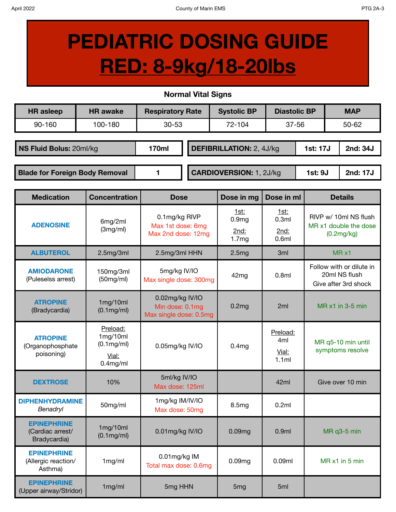## **PEDIATRIC DOSING GUIDE RED: 8-9kg/18-20lbs**

## **Normal Vital Signs**

| <b>HR</b> asleep                      | <b>HR</b> awake | <b>Respiratory Rate</b> |                                 | <b>Systolic BP</b> | <b>Diastolic BP</b> |          |           | <b>MAP</b> |
|---------------------------------------|-----------------|-------------------------|---------------------------------|--------------------|---------------------|----------|-----------|------------|
| 90-160                                | 100-180         | 72-104<br>$30 - 53$     |                                 | $37 - 56$          |                     |          | $50 - 62$ |            |
|                                       |                 |                         |                                 |                    |                     |          |           |            |
| NS Fluid Bolus: 20ml/kg               |                 | 170ml                   | <b>DEFIBRILLATION: 2, 4J/kg</b> |                    |                     | 1st: 17J |           | 2nd: 34J   |
|                                       |                 |                         |                                 |                    |                     |          |           |            |
| <b>Blade for Foreign Body Removal</b> |                 |                         | <b>CARDIOVERSION: 1, 2J/kg</b>  |                    |                     | 1st: 9J  |           | 2nd: 17J   |

| <b>Medication</b>                                      | <b>Concentration</b>                                             | <b>Dose</b>                                                  | Dose in mg                                 | Dose in ml                                    | <b>Details</b>                                                    |  |
|--------------------------------------------------------|------------------------------------------------------------------|--------------------------------------------------------------|--------------------------------------------|-----------------------------------------------|-------------------------------------------------------------------|--|
| <b>ADENOSINE</b>                                       | 6mg/2ml<br>(3mg/ml)                                              | 0.1mg/kg RIVP<br>Max 1st dose: 6mg<br>Max 2nd dose: 12mg     | 1st:<br>0.9 <sub>mg</sub><br>2nd:<br>1.7mg | <u>1st:</u><br>0.3ml<br>2nd:<br>0.6ml         | RIVP w/ 10ml NS flush<br>MR x1 double the dose<br>(0.2mg/kg)      |  |
| <b>ALBUTEROL</b>                                       | 2.5mg/3ml                                                        | 2.5mg/3ml HHN                                                | 2.5mg                                      | 3ml                                           | $MR \times 1$                                                     |  |
| <b>AMIODARONE</b><br>(Puleselss arrest)                | 150mg/3ml<br>(50mg/ml)                                           | 5mg/kg IV/IO<br>Max single dose: 300mg                       | 0.8ml<br>42mg                              |                                               | Follow with or dilute in<br>20ml NS flush<br>Give after 3rd shock |  |
| <b>ATROPINE</b><br>(Bradycardia)                       | 1mg/10ml<br>$(0.1 \text{mg/ml})$                                 | 0.02mg/kg IV/IO<br>Min dose: 0.1mg<br>Max single dose: 0.5mg | 0.2 <sub>mg</sub>                          | 2ml                                           | MR x1 in 3-5 min                                                  |  |
| <b>ATROPINE</b><br>(Organophosphate<br>poisoning)      | Preload:<br>1mg/10ml<br>$(0.1$ mg/ml $)$<br>Vial:<br>$0.4$ mg/ml | 0.05mg/kg IV/IO                                              | 0.4 <sub>mg</sub>                          | Preload:<br>4 <sub>ml</sub><br>Vial:<br>1.1ml | MR q5-10 min until<br>symptoms resolve                            |  |
| <b>DEXTROSE</b>                                        | 10%                                                              | 5ml/kg IV/IO<br>Max dose: 125ml                              |                                            | 42ml                                          | Give over 10 min                                                  |  |
| <b>DIPHENHYDRAMINE</b><br>Benadryl                     | 50mg/ml                                                          | 1mg/kg IM/IV/IO<br>Max dose: 50mg                            | 8.5mg                                      | 0.2ml                                         |                                                                   |  |
| <b>EPINEPHRINE</b><br>(Cardiac arrest/<br>Bradycardia) | 1mg/10ml<br>(0.1mg/ml)                                           | 0.01mg/kg IV/IO                                              | 0.09mg                                     | 0.9 <sub>ml</sub>                             | MR q3-5 min                                                       |  |
| <b>EPINEPHRINE</b><br>(Allergic reaction/<br>Asthma)   | 1mg/ml                                                           | 0.01mg/kg IM<br>Total max dose: 0.6mg                        | 0.09mg                                     | 0.09ml                                        | MR x1 in 5 min                                                    |  |
| <b>EPINEPHRINE</b><br>(Upper airway/Stridor)           | 1mg/ml                                                           | 5mg HHN                                                      | 5 <sub>mg</sub>                            | 5ml                                           |                                                                   |  |